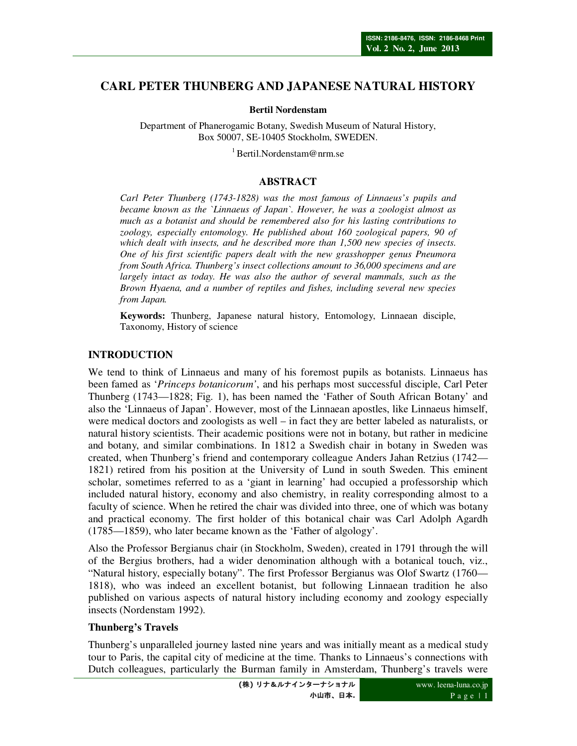# **CARL PETER THUNBERG AND JAPANESE NATURAL HISTORY**

**Bertil Nordenstam** 

Department of Phanerogamic Botany, Swedish Museum of Natural History, Box 50007, SE-10405 Stockholm, SWEDEN.

 $1$ Bertil.Nordenstam@nrm.se

# **ABSTRACT**

*Carl Peter Thunberg (1743-1828) was the most famous of Linnaeus's pupils and became known as the `Linnaeus of Japan`. However, he was a zoologist almost as much as a botanist and should be remembered also for his lasting contributions to zoology, especially entomology. He published about 160 zoological papers, 90 of which dealt with insects, and he described more than 1,500 new species of insects. One of his first scientific papers dealt with the new grasshopper genus Pneumora from South Africa. Thunberg's insect collections amount to 36,000 specimens and are largely intact as today. He was also the author of several mammals, such as the Brown Hyaena, and a number of reptiles and fishes, including several new species from Japan.* 

**Keywords:** Thunberg, Japanese natural history, Entomology, Linnaean disciple, Taxonomy, History of science

#### **INTRODUCTION**

We tend to think of Linnaeus and many of his foremost pupils as botanists. Linnaeus has been famed as '*Princeps botanicorum'*, and his perhaps most successful disciple, Carl Peter Thunberg (1743—1828; Fig. 1), has been named the 'Father of South African Botany' and also the 'Linnaeus of Japan'. However, most of the Linnaean apostles, like Linnaeus himself, were medical doctors and zoologists as well – in fact they are better labeled as naturalists, or natural history scientists. Their academic positions were not in botany, but rather in medicine and botany, and similar combinations. In 1812 a Swedish chair in botany in Sweden was created, when Thunberg's friend and contemporary colleague Anders Jahan Retzius (1742— 1821) retired from his position at the University of Lund in south Sweden. This eminent scholar, sometimes referred to as a 'giant in learning' had occupied a professorship which included natural history, economy and also chemistry, in reality corresponding almost to a faculty of science. When he retired the chair was divided into three, one of which was botany and practical economy. The first holder of this botanical chair was Carl Adolph Agardh (1785—1859), who later became known as the 'Father of algology'.

Also the Professor Bergianus chair (in Stockholm, Sweden), created in 1791 through the will of the Bergius brothers, had a wider denomination although with a botanical touch, viz., "Natural history, especially botany". The first Professor Bergianus was Olof Swartz (1760— 1818), who was indeed an excellent botanist, but following Linnaean tradition he also published on various aspects of natural history including economy and zoology especially insects (Nordenstam 1992).

## **Thunberg's Travels**

Thunberg's unparalleled journey lasted nine years and was initially meant as a medical study tour to Paris, the capital city of medicine at the time. Thanks to Linnaeus's connections with Dutch colleagues, particularly the Burman family in Amsterdam, Thunberg's travels were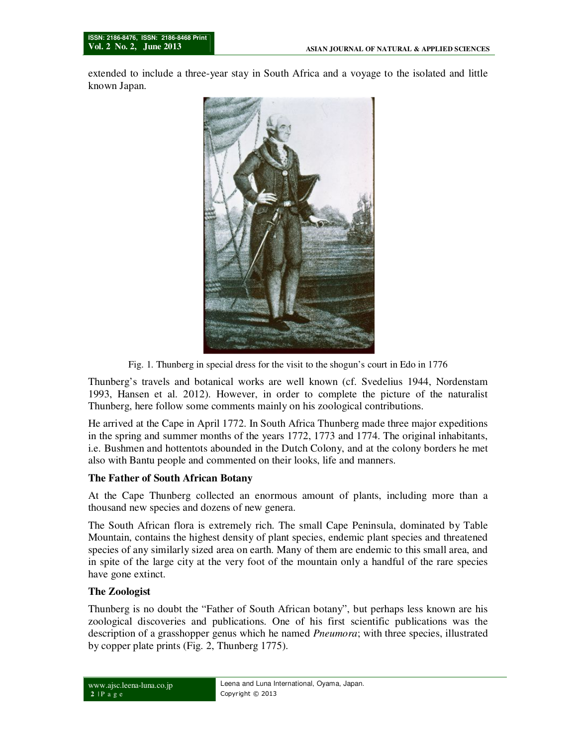extended to include a three-year stay in South Africa and a voyage to the isolated and little known Japan.



Fig. 1. Thunberg in special dress for the visit to the shogun's court in Edo in 1776

Thunberg's travels and botanical works are well known (cf. Svedelius 1944, Nordenstam 1993, Hansen et al. 2012). However, in order to complete the picture of the naturalist Thunberg, here follow some comments mainly on his zoological contributions.

He arrived at the Cape in April 1772. In South Africa Thunberg made three major expeditions in the spring and summer months of the years 1772, 1773 and 1774. The original inhabitants, i.e. Bushmen and hottentots abounded in the Dutch Colony, and at the colony borders he met also with Bantu people and commented on their looks, life and manners.

#### **The Father of South African Botany**

At the Cape Thunberg collected an enormous amount of plants, including more than a thousand new species and dozens of new genera.

The South African flora is extremely rich. The small Cape Peninsula, dominated by Table Mountain, contains the highest density of plant species, endemic plant species and threatened species of any similarly sized area on earth. Many of them are endemic to this small area, and in spite of the large city at the very foot of the mountain only a handful of the rare species have gone extinct.

#### **The Zoologist**

Thunberg is no doubt the "Father of South African botany", but perhaps less known are his zoological discoveries and publications. One of his first scientific publications was the description of a grasshopper genus which he named *Pneumora*; with three species, illustrated by copper plate prints (Fig. 2, Thunberg 1775).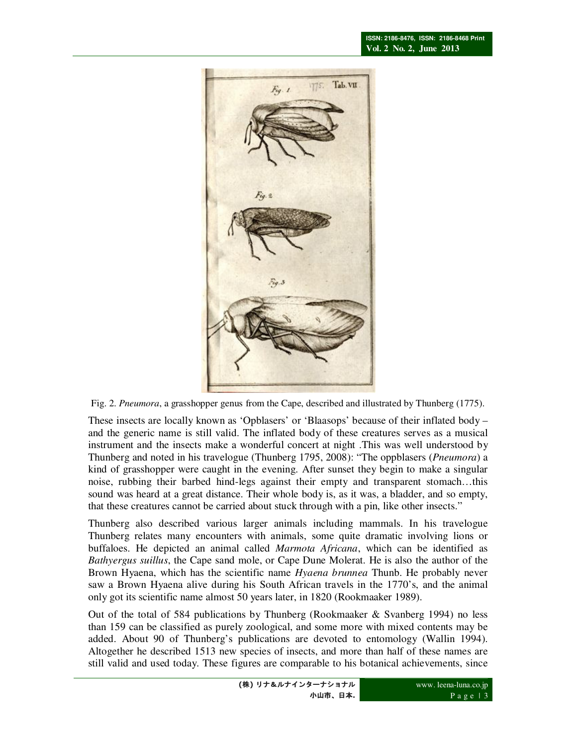

Fig. 2. *Pneumora*, a grasshopper genus from the Cape, described and illustrated by Thunberg (1775).

These insects are locally known as 'Opblasers' or 'Blaasops' because of their inflated body – and the generic name is still valid. The inflated body of these creatures serves as a musical instrument and the insects make a wonderful concert at night .This was well understood by Thunberg and noted in his travelogue (Thunberg 1795, 2008): "The oppblasers (*Pneumora*) a kind of grasshopper were caught in the evening. After sunset they begin to make a singular noise, rubbing their barbed hind-legs against their empty and transparent stomach…this sound was heard at a great distance. Their whole body is, as it was, a bladder, and so empty, that these creatures cannot be carried about stuck through with a pin, like other insects."

Thunberg also described various larger animals including mammals. In his travelogue Thunberg relates many encounters with animals, some quite dramatic involving lions or buffaloes. He depicted an animal called *Marmota Africana*, which can be identified as *Bathyergus suillus*, the Cape sand mole, or Cape Dune Molerat. He is also the author of the Brown Hyaena, which has the scientific name *Hyaena brunnea* Thunb. He probably never saw a Brown Hyaena alive during his South African travels in the 1770's, and the animal only got its scientific name almost 50 years later, in 1820 (Rookmaaker 1989).

Out of the total of 584 publications by Thunberg (Rookmaaker & Svanberg 1994) no less than 159 can be classified as purely zoological, and some more with mixed contents may be added. About 90 of Thunberg's publications are devoted to entomology (Wallin 1994). Altogether he described 1513 new species of insects, and more than half of these names are still valid and used today. These figures are comparable to his botanical achievements, since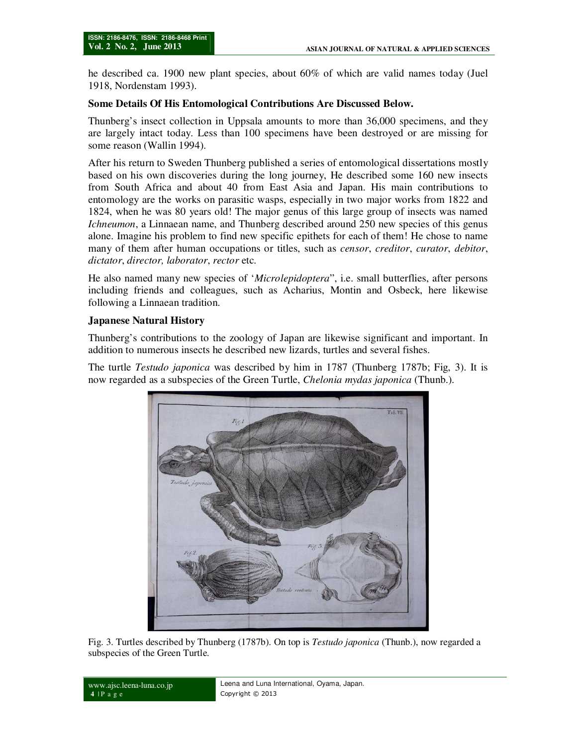he described ca. 1900 new plant species, about 60% of which are valid names today (Juel 1918, Nordenstam 1993).

## **Some Details Of His Entomological Contributions Are Discussed Below.**

Thunberg's insect collection in Uppsala amounts to more than 36,000 specimens, and they are largely intact today. Less than 100 specimens have been destroyed or are missing for some reason (Wallin 1994).

After his return to Sweden Thunberg published a series of entomological dissertations mostly based on his own discoveries during the long journey, He described some 160 new insects from South Africa and about 40 from East Asia and Japan. His main contributions to entomology are the works on parasitic wasps, especially in two major works from 1822 and 1824, when he was 80 years old! The major genus of this large group of insects was named *Ichneumon*, a Linnaean name, and Thunberg described around 250 new species of this genus alone. Imagine his problem to find new specific epithets for each of them! He chose to name many of them after human occupations or titles, such as *censor*, *creditor*, *curator*, *debitor*, *dictator*, *director, laborator*, *rector* etc.

He also named many new species of '*Microlepidoptera*", i.e. small butterflies, after persons including friends and colleagues, such as Acharius, Montin and Osbeck, here likewise following a Linnaean tradition.

# **Japanese Natural History**

Thunberg's contributions to the zoology of Japan are likewise significant and important. In addition to numerous insects he described new lizards, turtles and several fishes.

The turtle *Testudo japonica* was described by him in 1787 (Thunberg 1787b; Fig, 3). It is now regarded as a subspecies of the Green Turtle, *Chelonia mydas japonica* (Thunb.).



Fig. 3. Turtles described by Thunberg (1787b). On top is *Testudo japonica* (Thunb.), now regarded a subspecies of the Green Turtle.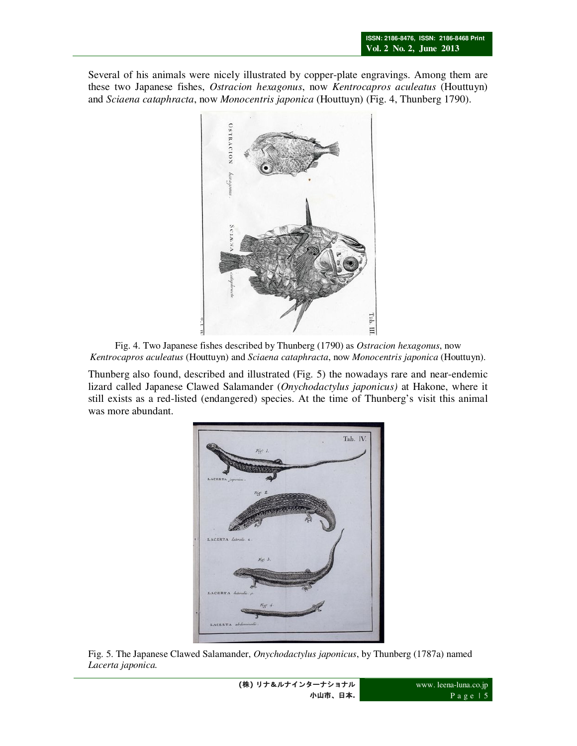Several of his animals were nicely illustrated by copper-plate engravings. Among them are these two Japanese fishes, *Ostracion hexagonus*, now *Kentrocapros aculeatus* (Houttuyn) and *Sciaena cataphracta*, now *Monocentris japonica* (Houttuyn) (Fig. 4, Thunberg 1790).



Fig. 4. Two Japanese fishes described by Thunberg (1790) as *Ostracion hexagonus*, now *Kentrocapros aculeatus* (Houttuyn) and *Sciaena cataphracta*, now *Monocentris japonica* (Houttuyn).

Thunberg also found, described and illustrated (Fig. 5) the nowadays rare and near-endemic lizard called Japanese Clawed Salamander (*Onychodactylus japonicus)* at Hakone, where it still exists as a red-listed (endangered) species. At the time of Thunberg's visit this animal was more abundant.



Fig. 5. The Japanese Clawed Salamander, *Onychodactylus japonicus*, by Thunberg (1787a) named *Lacerta japonica.*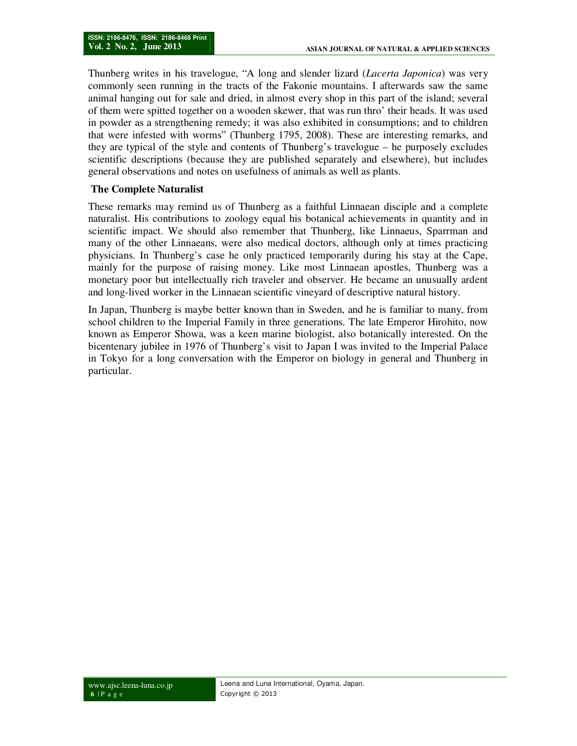Thunberg writes in his travelogue, "A long and slender lizard (*Lacerta Japonica*) was very commonly seen running in the tracts of the Fakonie mountains. I afterwards saw the same animal hanging out for sale and dried, in almost every shop in this part of the island; several of them were spitted together on a wooden skewer, that was run thro' their heads. It was used in powder as a strengthening remedy; it was also exhibited in consumptions; and to children that were infested with worms" (Thunberg 1795, 2008). These are interesting remarks, and they are typical of the style and contents of Thunberg's travelogue – he purposely excludes scientific descriptions (because they are published separately and elsewhere), but includes general observations and notes on usefulness of animals as well as plants.

# **The Complete Naturalist**

These remarks may remind us of Thunberg as a faithful Linnaean disciple and a complete naturalist. His contributions to zoology equal his botanical achievements in quantity and in scientific impact. We should also remember that Thunberg, like Linnaeus, Sparrman and many of the other Linnaeans, were also medical doctors, although only at times practicing physicians. In Thunberg's case he only practiced temporarily during his stay at the Cape, mainly for the purpose of raising money. Like most Linnaean apostles, Thunberg was a monetary poor but intellectually rich traveler and observer. He became an unusually ardent and long-lived worker in the Linnaean scientific vineyard of descriptive natural history.

In Japan, Thunberg is maybe better known than in Sweden, and he is familiar to many, from school children to the Imperial Family in three generations. The late Emperor Hirohito, now known as Emperor Showa, was a keen marine biologist, also botanically interested. On the bicentenary jubilee in 1976 of Thunberg's visit to Japan I was invited to the Imperial Palace in Tokyo for a long conversation with the Emperor on biology in general and Thunberg in particular.